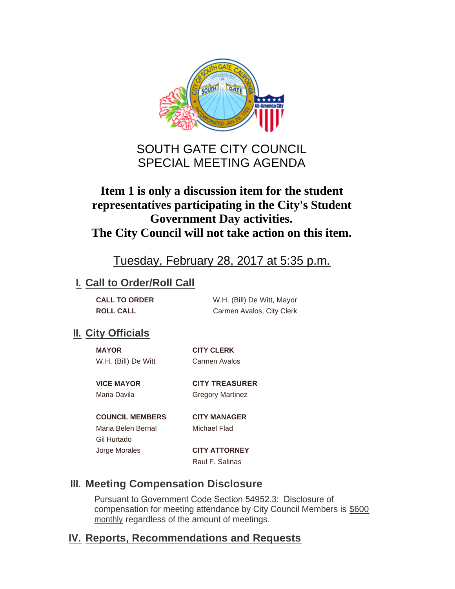

# SOUTH GATE CITY COUNCIL SPECIAL MEETING AGENDA

## **Item 1 is only a discussion item for the student representatives participating in the City's Student Government Day activities. The City Council will not take action on this item.**

# Tuesday, February 28, 2017 at 5:35 p.m.

## **I. Call to Order/Roll Call**

| <b>CALL TO ORDER</b> | W.H. (Bill) De Witt, Mayor |
|----------------------|----------------------------|
| <b>ROLL CALL</b>     | Carmen Avalos, City Clerk  |

## **II.** City Officials

| <b>MAYOR</b>        | <b>CITY CLERK</b> |
|---------------------|-------------------|
| W.H. (Bill) De Witt | Carmen Avalos     |

**VICE MAYOR CITY TREASURER**  Maria Davila **Gregory Martinez** 

**COUNCIL MEMBERS CITY MANAGER**

Maria Belen Bernal Michael Flad Gil Hurtado Jorge Morales **CITY ATTORNEY**

Raul F. Salinas

## **Meeting Compensation Disclosure III.**

Pursuant to Government Code Section 54952.3: Disclosure of compensation for meeting attendance by City Council Members is \$600 monthly regardless of the amount of meetings.

## **Reports, Recommendations and Requests IV.**